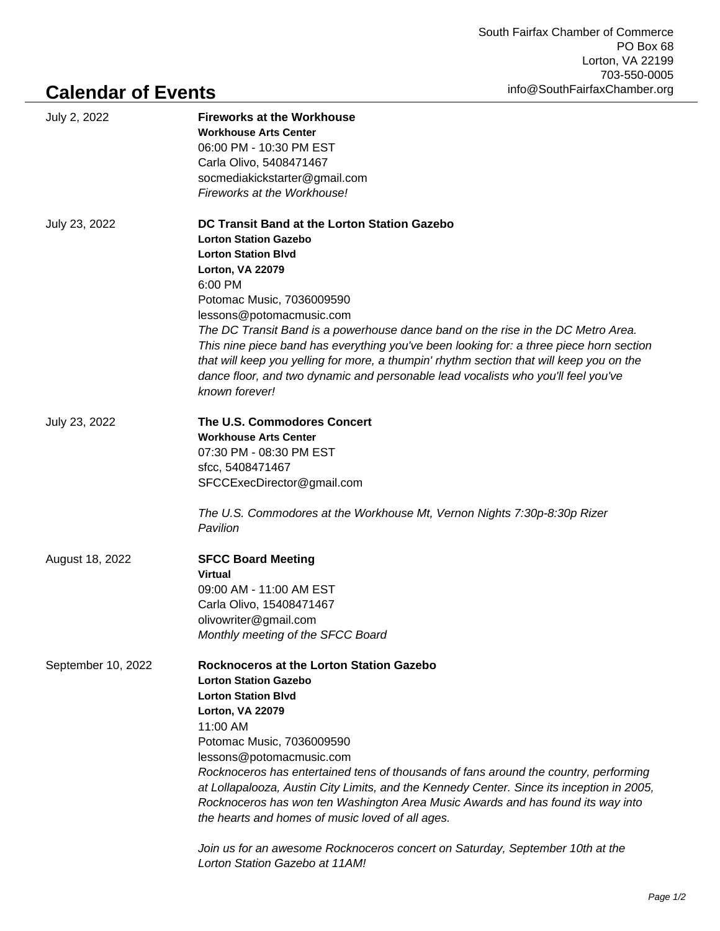## **Calendar of Events**

| July 2, 2022       | <b>Fireworks at the Workhouse</b><br><b>Workhouse Arts Center</b><br>06:00 PM - 10:30 PM EST<br>Carla Olivo, 5408471467<br>socmediakickstarter@gmail.com<br>Fireworks at the Workhouse!                                                                                                                                                                                                                                                                                                                                                                                                                                                        |
|--------------------|------------------------------------------------------------------------------------------------------------------------------------------------------------------------------------------------------------------------------------------------------------------------------------------------------------------------------------------------------------------------------------------------------------------------------------------------------------------------------------------------------------------------------------------------------------------------------------------------------------------------------------------------|
| July 23, 2022      | DC Transit Band at the Lorton Station Gazebo<br><b>Lorton Station Gazebo</b><br><b>Lorton Station Blvd</b><br>Lorton, VA 22079<br>6:00 PM<br>Potomac Music, 7036009590<br>lessons@potomacmusic.com<br>The DC Transit Band is a powerhouse dance band on the rise in the DC Metro Area.<br>This nine piece band has everything you've been looking for: a three piece horn section<br>that will keep you yelling for more, a thumpin' rhythm section that will keep you on the<br>dance floor, and two dynamic and personable lead vocalists who you'll feel you've<br>known forever!                                                           |
| July 23, 2022      | The U.S. Commodores Concert<br><b>Workhouse Arts Center</b><br>07:30 PM - 08:30 PM EST<br>sfcc, 5408471467<br>SFCCExecDirector@gmail.com<br>The U.S. Commodores at the Workhouse Mt, Vernon Nights 7:30p-8:30p Rizer<br>Pavilion                                                                                                                                                                                                                                                                                                                                                                                                               |
| August 18, 2022    | <b>SFCC Board Meeting</b><br><b>Virtual</b><br>09:00 AM - 11:00 AM EST<br>Carla Olivo, 15408471467<br>olivowriter@gmail.com<br>Monthly meeting of the SFCC Board                                                                                                                                                                                                                                                                                                                                                                                                                                                                               |
| September 10, 2022 | Rocknoceros at the Lorton Station Gazebo<br><b>Lorton Station Gazebo</b><br><b>Lorton Station Blvd</b><br>Lorton, VA 22079<br>11:00 AM<br>Potomac Music, 7036009590<br>lessons@potomacmusic.com<br>Rocknoceros has entertained tens of thousands of fans around the country, performing<br>at Lollapalooza, Austin City Limits, and the Kennedy Center. Since its inception in 2005,<br>Rocknoceros has won ten Washington Area Music Awards and has found its way into<br>the hearts and homes of music loved of all ages.<br>Join us for an awesome Rocknoceros concert on Saturday, September 10th at the<br>Lorton Station Gazebo at 11AM! |